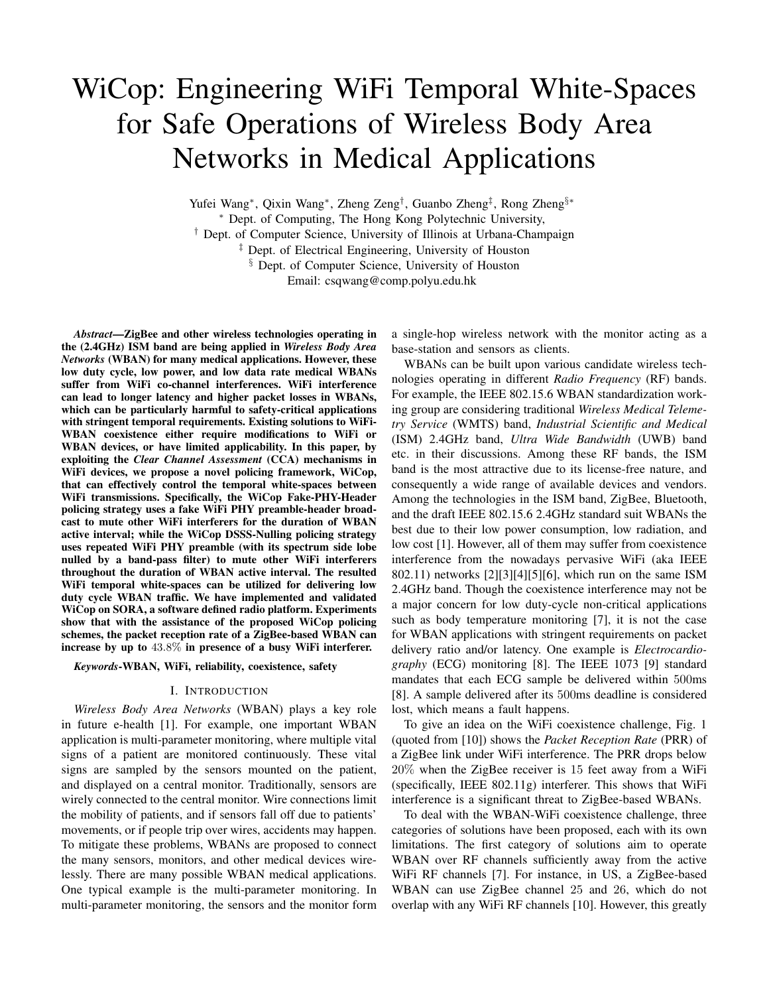# WiCop: Engineering WiFi Temporal White-Spaces for Safe Operations of Wireless Body Area Networks in Medical Applications

Yufei Wang<sup>∗</sup>, Qixin Wang<sup>∗</sup>, Zheng Zeng<sup>†</sup>, Guanbo Zheng<sup>‡</sup>, Rong Zheng<sup>§∗</sup> <sup>∗</sup> Dept. of Computing, The Hong Kong Polytechnic University, † Dept. of Computer Science, University of Illinois at Urbana-Champaign ‡ Dept. of Electrical Engineering, University of Houston § Dept. of Computer Science, University of Houston Email: csqwang@comp.polyu.edu.hk

*Abstract***—ZigBee and other wireless technologies operating in the (2.4GHz) ISM band are being applied in** *Wireless Body Area Networks* **(WBAN) for many medical applications. However, these low duty cycle, low power, and low data rate medical WBANs suffer from WiFi co-channel interferences. WiFi interference can lead to longer latency and higher packet losses in WBANs, which can be particularly harmful to safety-critical applications with stringent temporal requirements. Existing solutions to WiFi-WBAN coexistence either require modifications to WiFi or WBAN devices, or have limited applicability. In this paper, by exploiting the** *Clear Channel Assessment* **(CCA) mechanisms in WiFi devices, we propose a novel policing framework, WiCop, that can effectively control the temporal white-spaces between WiFi transmissions. Specifically, the WiCop Fake-PHY-Header policing strategy uses a fake WiFi PHY preamble-header broadcast to mute other WiFi interferers for the duration of WBAN active interval; while the WiCop DSSS-Nulling policing strategy uses repeated WiFi PHY preamble (with its spectrum side lobe nulled by a band-pass filter) to mute other WiFi interferers throughout the duration of WBAN active interval. The resulted WiFi temporal white-spaces can be utilized for delivering low duty cycle WBAN traffic. We have implemented and validated WiCop on SORA, a software defined radio platform. Experiments show that with the assistance of the proposed WiCop policing schemes, the packet reception rate of a ZigBee-based WBAN can increase by up to** 43.8% **in presence of a busy WiFi interferer.**

#### *Keywords***-WBAN, WiFi, reliability, coexistence, safety**

# I. INTRODUCTION

*Wireless Body Area Networks* (WBAN) plays a key role in future e-health [1]. For example, one important WBAN application is multi-parameter monitoring, where multiple vital signs of a patient are monitored continuously. These vital signs are sampled by the sensors mounted on the patient, and displayed on a central monitor. Traditionally, sensors are wirely connected to the central monitor. Wire connections limit the mobility of patients, and if sensors fall off due to patients' movements, or if people trip over wires, accidents may happen. To mitigate these problems, WBANs are proposed to connect the many sensors, monitors, and other medical devices wirelessly. There are many possible WBAN medical applications. One typical example is the multi-parameter monitoring. In multi-parameter monitoring, the sensors and the monitor form a single-hop wireless network with the monitor acting as a base-station and sensors as clients.

WBANs can be built upon various candidate wireless technologies operating in different *Radio Frequency* (RF) bands. For example, the IEEE 802.15.6 WBAN standardization working group are considering traditional *Wireless Medical Telemetry Service* (WMTS) band, *Industrial Scientific and Medical* (ISM) 2.4GHz band, *Ultra Wide Bandwidth* (UWB) band etc. in their discussions. Among these RF bands, the ISM band is the most attractive due to its license-free nature, and consequently a wide range of available devices and vendors. Among the technologies in the ISM band, ZigBee, Bluetooth, and the draft IEEE 802.15.6 2.4GHz standard suit WBANs the best due to their low power consumption, low radiation, and low cost [1]. However, all of them may suffer from coexistence interference from the nowadays pervasive WiFi (aka IEEE 802.11) networks [2][3][4][5][6], which run on the same ISM 2.4GHz band. Though the coexistence interference may not be a major concern for low duty-cycle non-critical applications such as body temperature monitoring [7], it is not the case for WBAN applications with stringent requirements on packet delivery ratio and/or latency. One example is *Electrocardiography* (ECG) monitoring [8]. The IEEE 1073 [9] standard mandates that each ECG sample be delivered within 500ms [8]. A sample delivered after its 500ms deadline is considered lost, which means a fault happens.

To give an idea on the WiFi coexistence challenge, Fig. 1 (quoted from [10]) shows the *Packet Reception Rate* (PRR) of a ZigBee link under WiFi interference. The PRR drops below 20% when the ZigBee receiver is 15 feet away from a WiFi (specifically, IEEE 802.11g) interferer. This shows that WiFi interference is a significant threat to ZigBee-based WBANs.

To deal with the WBAN-WiFi coexistence challenge, three categories of solutions have been proposed, each with its own limitations. The first category of solutions aim to operate WBAN over RF channels sufficiently away from the active WiFi RF channels [7]. For instance, in US, a ZigBee-based WBAN can use ZigBee channel 25 and 26, which do not overlap with any WiFi RF channels [10]. However, this greatly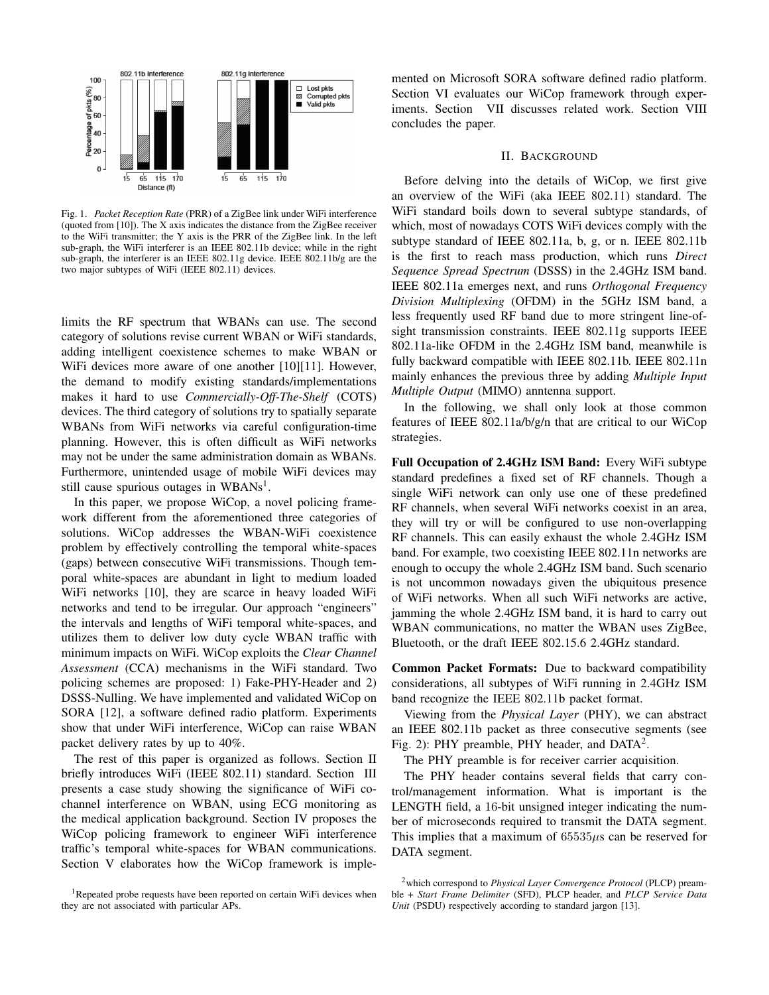

Fig. 1. *Packet Reception Rate* (PRR) of a ZigBee link under WiFi interference (quoted from [10]). The X axis indicates the distance from the ZigBee receiver to the WiFi transmitter; the Y axis is the PRR of the ZigBee link. In the left sub-graph, the WiFi interferer is an IEEE 802.11b device; while in the right sub-graph, the interferer is an IEEE 802.11g device. IEEE 802.11b/g are the two major subtypes of WiFi (IEEE 802.11) devices.

limits the RF spectrum that WBANs can use. The second category of solutions revise current WBAN or WiFi standards, adding intelligent coexistence schemes to make WBAN or WiFi devices more aware of one another [10][11]. However, the demand to modify existing standards/implementations makes it hard to use *Commercially-Off-The-Shelf* (COTS) devices. The third category of solutions try to spatially separate WBANs from WiFi networks via careful configuration-time planning. However, this is often difficult as WiFi networks may not be under the same administration domain as WBANs. Furthermore, unintended usage of mobile WiFi devices may still cause spurious outages in WBANs<sup>1</sup>.

In this paper, we propose WiCop, a novel policing framework different from the aforementioned three categories of solutions. WiCop addresses the WBAN-WiFi coexistence problem by effectively controlling the temporal white-spaces (gaps) between consecutive WiFi transmissions. Though temporal white-spaces are abundant in light to medium loaded WiFi networks [10], they are scarce in heavy loaded WiFi networks and tend to be irregular. Our approach "engineers" the intervals and lengths of WiFi temporal white-spaces, and utilizes them to deliver low duty cycle WBAN traffic with minimum impacts on WiFi. WiCop exploits the *Clear Channel Assessment* (CCA) mechanisms in the WiFi standard. Two policing schemes are proposed: 1) Fake-PHY-Header and 2) DSSS-Nulling. We have implemented and validated WiCop on SORA [12], a software defined radio platform. Experiments show that under WiFi interference, WiCop can raise WBAN packet delivery rates by up to 40%.

The rest of this paper is organized as follows. Section II briefly introduces WiFi (IEEE 802.11) standard. Section III presents a case study showing the significance of WiFi cochannel interference on WBAN, using ECG monitoring as the medical application background. Section IV proposes the WiCop policing framework to engineer WiFi interference traffic's temporal white-spaces for WBAN communications. Section V elaborates how the WiCop framework is implemented on Microsoft SORA software defined radio platform. Section VI evaluates our WiCop framework through experiments. Section VII discusses related work. Section VIII concludes the paper.

#### II. BACKGROUND

Before delving into the details of WiCop, we first give an overview of the WiFi (aka IEEE 802.11) standard. The WiFi standard boils down to several subtype standards, of which, most of nowadays COTS WiFi devices comply with the subtype standard of IEEE 802.11a, b, g, or n. IEEE 802.11b is the first to reach mass production, which runs *Direct Sequence Spread Spectrum* (DSSS) in the 2.4GHz ISM band. IEEE 802.11a emerges next, and runs *Orthogonal Frequency Division Multiplexing* (OFDM) in the 5GHz ISM band, a less frequently used RF band due to more stringent line-ofsight transmission constraints. IEEE 802.11g supports IEEE 802.11a-like OFDM in the 2.4GHz ISM band, meanwhile is fully backward compatible with IEEE 802.11b. IEEE 802.11n mainly enhances the previous three by adding *Multiple Input Multiple Output* (MIMO) anntenna support.

In the following, we shall only look at those common features of IEEE 802.11a/b/g/n that are critical to our WiCop strategies.

**Full Occupation of 2.4GHz ISM Band:** Every WiFi subtype standard predefines a fixed set of RF channels. Though a single WiFi network can only use one of these predefined RF channels, when several WiFi networks coexist in an area, they will try or will be configured to use non-overlapping RF channels. This can easily exhaust the whole 2.4GHz ISM band. For example, two coexisting IEEE 802.11n networks are enough to occupy the whole 2.4GHz ISM band. Such scenario is not uncommon nowadays given the ubiquitous presence of WiFi networks. When all such WiFi networks are active, jamming the whole 2.4GHz ISM band, it is hard to carry out WBAN communications, no matter the WBAN uses ZigBee, Bluetooth, or the draft IEEE 802.15.6 2.4GHz standard.

**Common Packet Formats:** Due to backward compatibility considerations, all subtypes of WiFi running in 2.4GHz ISM band recognize the IEEE 802.11b packet format.

Viewing from the *Physical Layer* (PHY), we can abstract an IEEE 802.11b packet as three consecutive segments (see Fig. 2): PHY preamble, PHY header, and  $DATA^2$ .

The PHY preamble is for receiver carrier acquisition.

The PHY header contains several fields that carry control/management information. What is important is the LENGTH field, a 16-bit unsigned integer indicating the number of microseconds required to transmit the DATA segment. This implies that a maximum of  $65535\mu s$  can be reserved for DATA segment.

<sup>&</sup>lt;sup>1</sup>Repeated probe requests have been reported on certain WiFi devices when they are not associated with particular APs.

<sup>2</sup>which correspond to *Physical Layer Convergence Protocol* (PLCP) preamble + *Start Frame Delimiter* (SFD), PLCP header, and *PLCP Service Data Unit* (PSDU) respectively according to standard jargon [13].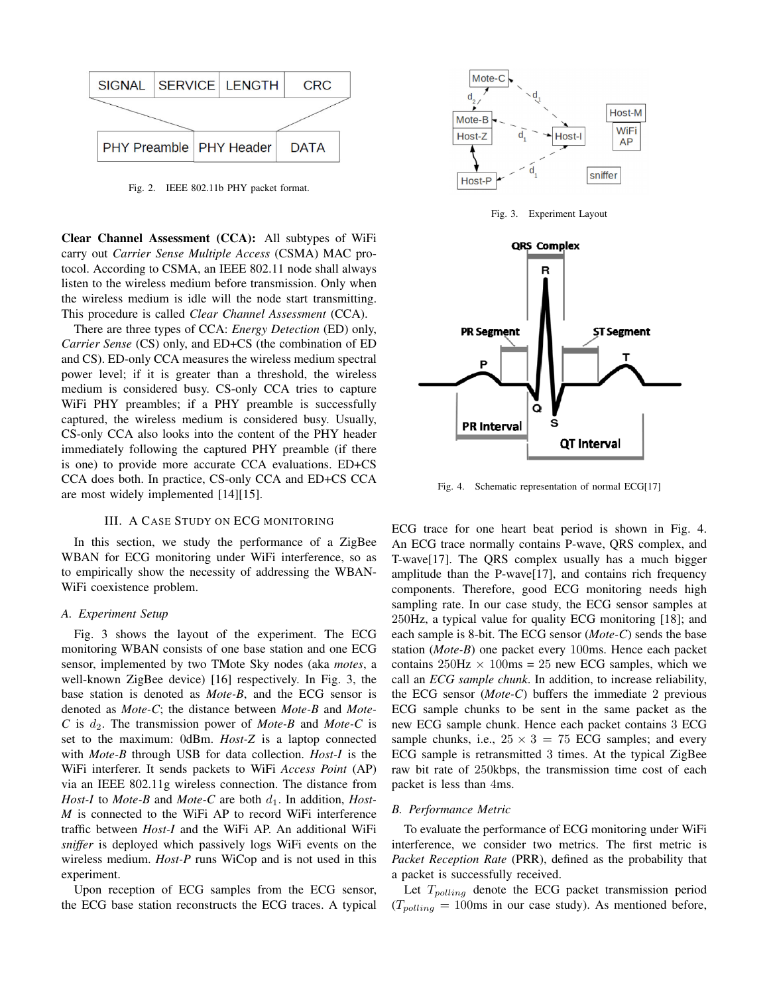

Fig. 2. IEEE 802.11b PHY packet format.

**Clear Channel Assessment (CCA):** All subtypes of WiFi carry out *Carrier Sense Multiple Access* (CSMA) MAC protocol. According to CSMA, an IEEE 802.11 node shall always listen to the wireless medium before transmission. Only when the wireless medium is idle will the node start transmitting. This procedure is called *Clear Channel Assessment* (CCA).

There are three types of CCA: *Energy Detection* (ED) only, *Carrier Sense* (CS) only, and ED+CS (the combination of ED and CS). ED-only CCA measures the wireless medium spectral power level; if it is greater than a threshold, the wireless medium is considered busy. CS-only CCA tries to capture WiFi PHY preambles; if a PHY preamble is successfully captured, the wireless medium is considered busy. Usually, CS-only CCA also looks into the content of the PHY header immediately following the captured PHY preamble (if there is one) to provide more accurate CCA evaluations. ED+CS CCA does both. In practice, CS-only CCA and ED+CS CCA are most widely implemented [14][15].

#### III. A CASE STUDY ON ECG MONITORING

In this section, we study the performance of a ZigBee WBAN for ECG monitoring under WiFi interference, so as to empirically show the necessity of addressing the WBAN-WiFi coexistence problem.

#### *A. Experiment Setup*

Fig. 3 shows the layout of the experiment. The ECG monitoring WBAN consists of one base station and one ECG sensor, implemented by two TMote Sky nodes (aka *motes*, a well-known ZigBee device) [16] respectively. In Fig. 3, the base station is denoted as *Mote-B*, and the ECG sensor is denoted as *Mote-C*; the distance between *Mote-B* and *Mote-C* is d2. The transmission power of *Mote-B* and *Mote-C* is set to the maximum: 0dBm. *Host-Z* is a laptop connected with *Mote-B* through USB for data collection. *Host-I* is the WiFi interferer. It sends packets to WiFi *Access Point* (AP) via an IEEE 802.11g wireless connection. The distance from *Host-I* to *Mote-B* and *Mote-C* are both  $d_1$ . In addition, *Host-M* is connected to the WiFi AP to record WiFi interference traffic between *Host-I* and the WiFi AP. An additional WiFi *sniffer* is deployed which passively logs WiFi events on the wireless medium. *Host-P* runs WiCop and is not used in this experiment.

Upon reception of ECG samples from the ECG sensor, the ECG base station reconstructs the ECG traces. A typical



Fig. 3. Experiment Layout



Fig. 4. Schematic representation of normal ECG[17]

ECG trace for one heart beat period is shown in Fig. 4. An ECG trace normally contains P-wave, QRS complex, and T-wave[17]. The QRS complex usually has a much bigger amplitude than the P-wave[17], and contains rich frequency components. Therefore, good ECG monitoring needs high sampling rate. In our case study, the ECG sensor samples at 250Hz, a typical value for quality ECG monitoring [18]; and each sample is 8-bit. The ECG sensor (*Mote-C*) sends the base station (*Mote-B*) one packet every 100ms. Hence each packet contains  $250\text{Hz} \times 100\text{ms} = 25 \text{ new ECG samples, which we$ call an *ECG sample chunk*. In addition, to increase reliability, the ECG sensor (*Mote-C*) buffers the immediate 2 previous ECG sample chunks to be sent in the same packet as the new ECG sample chunk. Hence each packet contains 3 ECG sample chunks, i.e.,  $25 \times 3 = 75$  ECG samples; and every ECG sample is retransmitted 3 times. At the typical ZigBee raw bit rate of 250kbps, the transmission time cost of each packet is less than 4ms.

## *B. Performance Metric*

To evaluate the performance of ECG monitoring under WiFi interference, we consider two metrics. The first metric is *Packet Reception Rate* (PRR), defined as the probability that a packet is successfully received.

Let  $T_{polling}$  denote the ECG packet transmission period  $(T_{polling} = 100 \text{ms}$  in our case study). As mentioned before,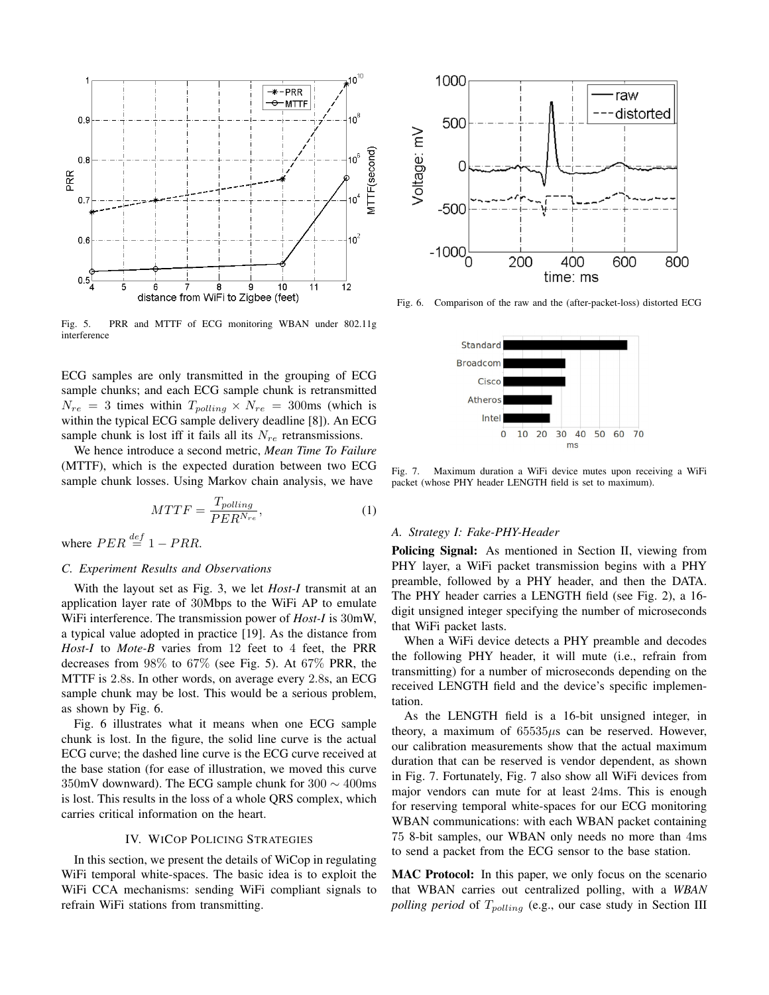

Fig. 5. PRR and MTTF of ECG monitoring WBAN under 802.11g interference

ECG samples are only transmitted in the grouping of ECG sample chunks; and each ECG sample chunk is retransmitted  $N_{re} = 3$  times within  $T_{polling} \times N_{re} = 300$  ms (which is within the typical ECG sample delivery deadline [8]). An ECG sample chunk is lost iff it fails all its  $N_{re}$  retransmissions.

We hence introduce a second metric, *Mean Time To Failure* (MTTF), which is the expected duration between two ECG sample chunk losses. Using Markov chain analysis, we have

$$
MTTF = \frac{T_{polling}}{PER^{N_{re}}},\tag{1}
$$

where  $PER \stackrel{def}{=} 1 - PRR$ .

# *C. Experiment Results and Observations*

With the layout set as Fig. 3, we let *Host-I* transmit at an application layer rate of 30Mbps to the WiFi AP to emulate WiFi interference. The transmission power of *Host-I* is 30mW, a typical value adopted in practice [19]. As the distance from *Host-I* to *Mote-B* varies from 12 feet to 4 feet, the PRR decreases from 98% to 67% (see Fig. 5). At 67% PRR, the MTTF is 2.8s. In other words, on average every 2.8s, an ECG sample chunk may be lost. This would be a serious problem, as shown by Fig. 6.

Fig. 6 illustrates what it means when one ECG sample chunk is lost. In the figure, the solid line curve is the actual ECG curve; the dashed line curve is the ECG curve received at the base station (for ease of illustration, we moved this curve 350mV downward). The ECG sample chunk for  $300 \sim 400$ ms is lost. This results in the loss of a whole QRS complex, which carries critical information on the heart.

## IV. WICOP POLICING STRATEGIES

In this section, we present the details of WiCop in regulating WiFi temporal white-spaces. The basic idea is to exploit the WiFi CCA mechanisms: sending WiFi compliant signals to refrain WiFi stations from transmitting.



Fig. 6. Comparison of the raw and the (after-packet-loss) distorted ECG



Fig. 7. Maximum duration a WiFi device mutes upon receiving a WiFi packet (whose PHY header LENGTH field is set to maximum).

#### *A. Strategy I: Fake-PHY-Header*

**Policing Signal:** As mentioned in Section II, viewing from PHY layer, a WiFi packet transmission begins with a PHY preamble, followed by a PHY header, and then the DATA. The PHY header carries a LENGTH field (see Fig. 2), a 16 digit unsigned integer specifying the number of microseconds that WiFi packet lasts.

When a WiFi device detects a PHY preamble and decodes the following PHY header, it will mute (i.e., refrain from transmitting) for a number of microseconds depending on the received LENGTH field and the device's specific implementation.

As the LENGTH field is a 16-bit unsigned integer, in theory, a maximum of  $65535\mu s$  can be reserved. However, our calibration measurements show that the actual maximum duration that can be reserved is vendor dependent, as shown in Fig. 7. Fortunately, Fig. 7 also show all WiFi devices from major vendors can mute for at least 24ms. This is enough for reserving temporal white-spaces for our ECG monitoring WBAN communications: with each WBAN packet containing 75 8-bit samples, our WBAN only needs no more than 4ms to send a packet from the ECG sensor to the base station.

**MAC Protocol:** In this paper, we only focus on the scenario that WBAN carries out centralized polling, with a *WBAN polling period* of  $T_{polling}$  (e.g., our case study in Section III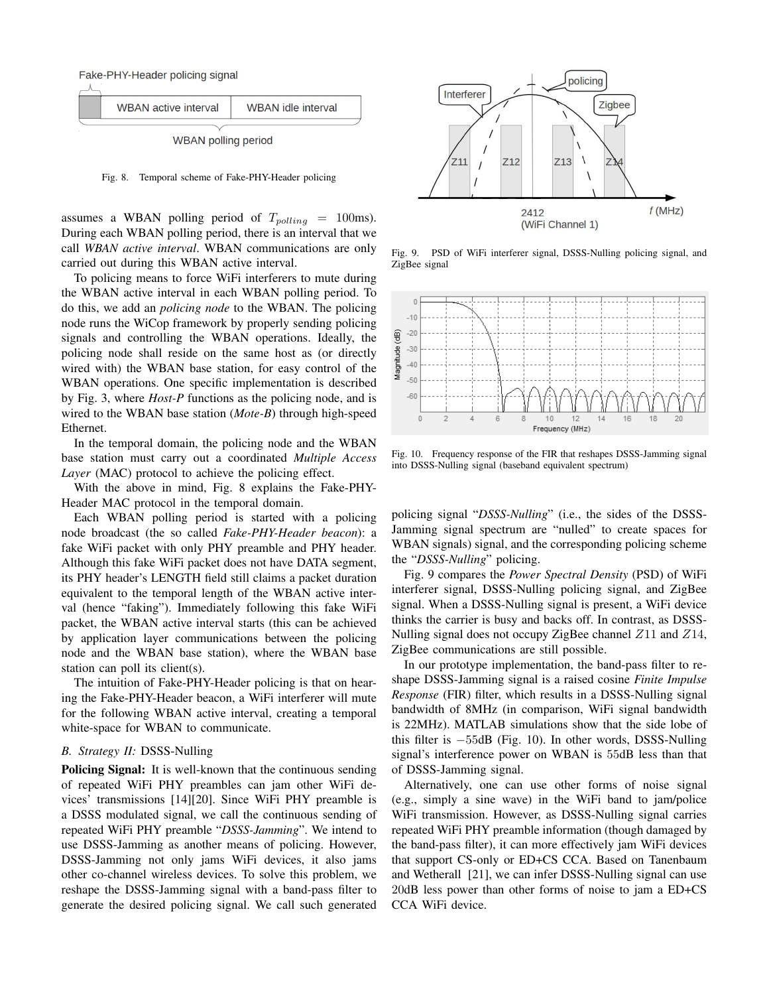



Fig. 8. Temporal scheme of Fake-PHY-Header policing

assumes a WBAN polling period of  $T_{polling}$  = 100ms). During each WBAN polling period, there is an interval that we call *WBAN active interval*. WBAN communications are only carried out during this WBAN active interval.

To policing means to force WiFi interferers to mute during the WBAN active interval in each WBAN polling period. To do this, we add an *policing node* to the WBAN. The policing node runs the WiCop framework by properly sending policing signals and controlling the WBAN operations. Ideally, the policing node shall reside on the same host as (or directly wired with) the WBAN base station, for easy control of the WBAN operations. One specific implementation is described by Fig. 3, where *Host-P* functions as the policing node, and is wired to the WBAN base station (*Mote-B*) through high-speed Ethernet.

In the temporal domain, the policing node and the WBAN base station must carry out a coordinated *Multiple Access Layer* (MAC) protocol to achieve the policing effect.

With the above in mind, Fig. 8 explains the Fake-PHY-Header MAC protocol in the temporal domain.

Each WBAN polling period is started with a policing node broadcast (the so called *Fake-PHY-Header beacon*): a fake WiFi packet with only PHY preamble and PHY header. Although this fake WiFi packet does not have DATA segment, its PHY header's LENGTH field still claims a packet duration equivalent to the temporal length of the WBAN active interval (hence "faking"). Immediately following this fake WiFi packet, the WBAN active interval starts (this can be achieved by application layer communications between the policing node and the WBAN base station), where the WBAN base station can poll its client(s).

The intuition of Fake-PHY-Header policing is that on hearing the Fake-PHY-Header beacon, a WiFi interferer will mute for the following WBAN active interval, creating a temporal white-space for WBAN to communicate.

#### *B. Strategy II:* DSSS-Nulling

**Policing Signal:** It is well-known that the continuous sending of repeated WiFi PHY preambles can jam other WiFi devices' transmissions [14][20]. Since WiFi PHY preamble is a DSSS modulated signal, we call the continuous sending of repeated WiFi PHY preamble "*DSSS-Jamming*". We intend to use DSSS-Jamming as another means of policing. However, DSSS-Jamming not only jams WiFi devices, it also jams other co-channel wireless devices. To solve this problem, we reshape the DSSS-Jamming signal with a band-pass filter to generate the desired policing signal. We call such generated



Fig. 9. PSD of WiFi interferer signal, DSSS-Nulling policing signal, and ZigBee signal



Fig. 10. Frequency response of the FIR that reshapes DSSS-Jamming signal into DSSS-Nulling signal (baseband equivalent spectrum)

policing signal "*DSSS-Nulling*" (i.e., the sides of the DSSS-Jamming signal spectrum are "nulled" to create spaces for WBAN signals) signal, and the corresponding policing scheme the "*DSSS-Nulling*" policing.

Fig. 9 compares the *Power Spectral Density* (PSD) of WiFi interferer signal, DSSS-Nulling policing signal, and ZigBee signal. When a DSSS-Nulling signal is present, a WiFi device thinks the carrier is busy and backs off. In contrast, as DSSS-Nulling signal does not occupy ZigBee channel Z11 and Z14, ZigBee communications are still possible.

In our prototype implementation, the band-pass filter to reshape DSSS-Jamming signal is a raised cosine *Finite Impulse Response* (FIR) filter, which results in a DSSS-Nulling signal bandwidth of 8MHz (in comparison, WiFi signal bandwidth is 22MHz). MATLAB simulations show that the side lobe of this filter is −55dB (Fig. 10). In other words, DSSS-Nulling signal's interference power on WBAN is 55dB less than that of DSSS-Jamming signal.

Alternatively, one can use other forms of noise signal (e.g., simply a sine wave) in the WiFi band to jam/police WiFi transmission. However, as DSSS-Nulling signal carries repeated WiFi PHY preamble information (though damaged by the band-pass filter), it can more effectively jam WiFi devices that support CS-only or ED+CS CCA. Based on Tanenbaum and Wetherall [21], we can infer DSSS-Nulling signal can use 20dB less power than other forms of noise to jam a ED+CS CCA WiFi device.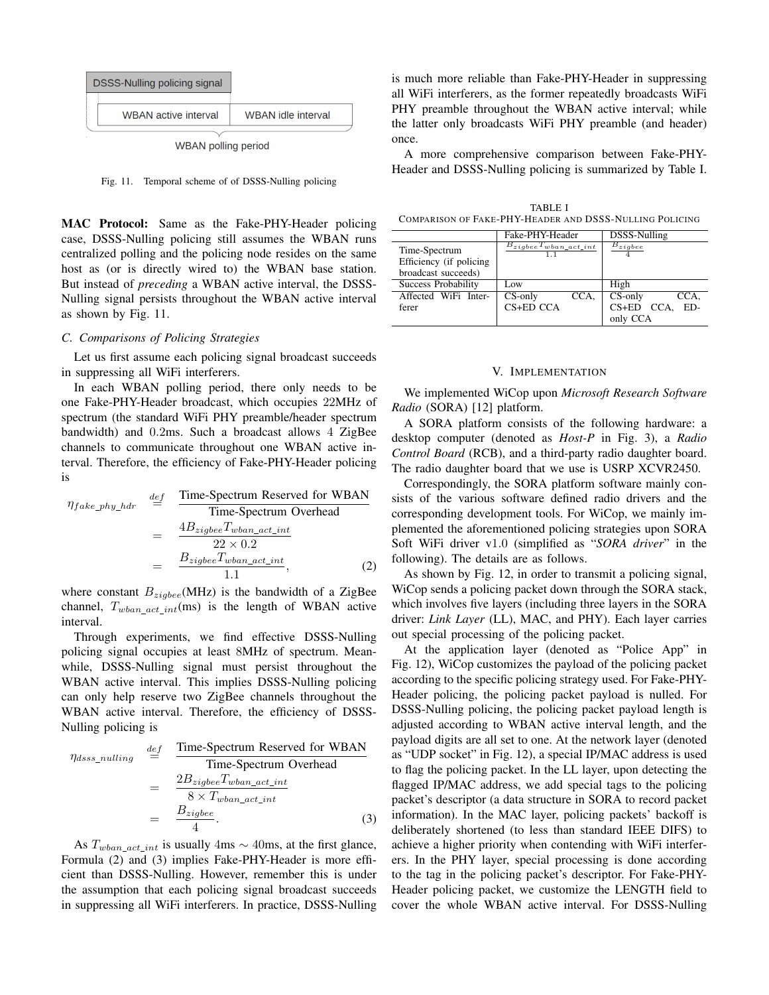

Fig. 11. Temporal scheme of of DSSS-Nulling policing

**MAC Protocol:** Same as the Fake-PHY-Header policing case, DSSS-Nulling policing still assumes the WBAN runs centralized polling and the policing node resides on the same host as (or is directly wired to) the WBAN base station. But instead of *preceding* a WBAN active interval, the DSSS-Nulling signal persists throughout the WBAN active interval as shown by Fig. 11.

# *C. Comparisons of Policing Strategies*

Let us first assume each policing signal broadcast succeeds in suppressing all WiFi interferers.

In each WBAN polling period, there only needs to be one Fake-PHY-Header broadcast, which occupies 22MHz of spectrum (the standard WiFi PHY preamble/header spectrum bandwidth) and 0.2ms. Such a broadcast allows 4 ZigBee channels to communicate throughout one WBAN active interval. Therefore, the efficiency of Fake-PHY-Header policing is

$$
\eta_{fake\_phy\_hdr} \stackrel{def}{=} \frac{\text{Time-Spectrum Reserved for WBAN}}{\text{Time-Spectrum Overhead}}
$$
\n
$$
= \frac{4B_{zigbee}T_{wban\_act\_int}}{22 \times 0.2}
$$
\n
$$
= \frac{B_{zigbee}T_{wban\_act\_int}}{1.1}, \tag{2}
$$

where constant  $B_{zigbee}$ (MHz) is the bandwidth of a ZigBee channel,  $T_{wban\_act\_int}$ (ms) is the length of WBAN active interval.

Through experiments, we find effective DSSS-Nulling policing signal occupies at least 8MHz of spectrum. Meanwhile, DSSS-Nulling signal must persist throughout the WBAN active interval. This implies DSSS-Nulling policing can only help reserve two ZigBee channels throughout the WBAN active interval. Therefore, the efficiency of DSSS-Nulling policing is

$$
\eta_{dsss\_nulling} \stackrel{def}{=} \frac{\text{Time-Spectrum Reserved for WBAN}}{\text{Time-Spectrum Overhead}}
$$
\n
$$
= \frac{2B_{zigbee}T_{wban\_act\_int}}{8 \times T_{wban\_act\_int}}
$$
\n
$$
= \frac{B_{zigbee}}{4}.
$$
\n(3)

As  $T_{wban\_act\_int}$  is usually 4ms  $\sim$  40ms, at the first glance, Formula (2) and (3) implies Fake-PHY-Header is more efficient than DSSS-Nulling. However, remember this is under the assumption that each policing signal broadcast succeeds in suppressing all WiFi interferers. In practice, DSSS-Nulling is much more reliable than Fake-PHY-Header in suppressing all WiFi interferers, as the former repeatedly broadcasts WiFi PHY preamble throughout the WBAN active interval; while the latter only broadcasts WiFi PHY preamble (and header) once.

A more comprehensive comparison between Fake-PHY-Header and DSSS-Nulling policing is summarized by Table I.

TABLE I COMPARISON OF FAKE-PHY-HEADER AND DSSS-NULLING POLICING

|                                                                 | Fake-PHY-Header                | DSSS-Nulling      |
|-----------------------------------------------------------------|--------------------------------|-------------------|
| Time-Spectrum<br>Efficiency (if policing<br>broadcast succeeds) | $B_{zigbee}T_{wban\_act\_int}$ | $B_{zigbee}$      |
| <b>Success Probability</b>                                      | Low                            | High              |
| Affected WiFi Inter-                                            | CS-only<br>CCA,                | CS-only<br>CCA,   |
| ferer                                                           | CS+ED CCA                      | CS+ED CCA.<br>ED- |
|                                                                 |                                | only CCA          |

## V. IMPLEMENTATION

We implemented WiCop upon *Microsoft Research Software Radio* (SORA) [12] platform.

A SORA platform consists of the following hardware: a desktop computer (denoted as *Host-P* in Fig. 3), a *Radio Control Board* (RCB), and a third-party radio daughter board. The radio daughter board that we use is USRP XCVR2450.

Correspondingly, the SORA platform software mainly consists of the various software defined radio drivers and the corresponding development tools. For WiCop, we mainly implemented the aforementioned policing strategies upon SORA Soft WiFi driver v1.0 (simplified as "*SORA driver*" in the following). The details are as follows.

As shown by Fig. 12, in order to transmit a policing signal, WiCop sends a policing packet down through the SORA stack, which involves five layers (including three layers in the SORA driver: *Link Layer* (LL), MAC, and PHY). Each layer carries out special processing of the policing packet.

At the application layer (denoted as "Police App" in Fig. 12), WiCop customizes the payload of the policing packet according to the specific policing strategy used. For Fake-PHY-Header policing, the policing packet payload is nulled. For DSSS-Nulling policing, the policing packet payload length is adjusted according to WBAN active interval length, and the payload digits are all set to one. At the network layer (denoted as "UDP socket" in Fig. 12), a special IP/MAC address is used to flag the policing packet. In the LL layer, upon detecting the flagged IP/MAC address, we add special tags to the policing packet's descriptor (a data structure in SORA to record packet information). In the MAC layer, policing packets' backoff is deliberately shortened (to less than standard IEEE DIFS) to achieve a higher priority when contending with WiFi interferers. In the PHY layer, special processing is done according to the tag in the policing packet's descriptor. For Fake-PHY-Header policing packet, we customize the LENGTH field to cover the whole WBAN active interval. For DSSS-Nulling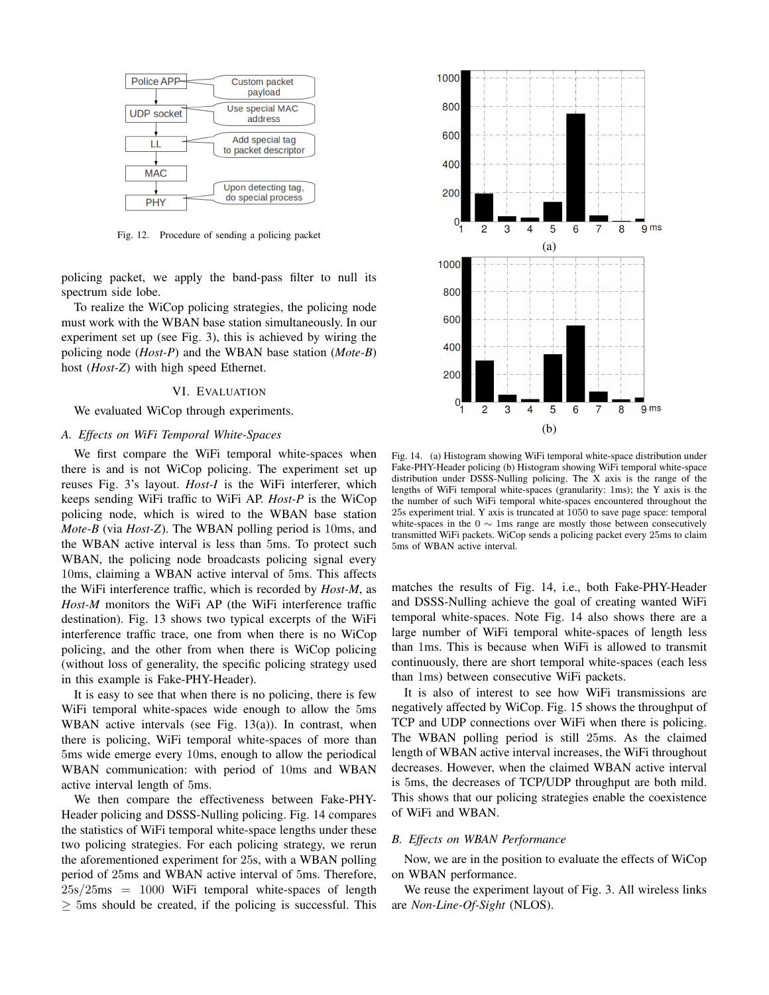

Fig. 12. Procedure of sending a policing packet

policing packet, we apply the band-pass filter to null its spectrum side lobe.

To realize the WiCop policing strategies, the policing node must work with the WBAN base station simultaneously. In our experiment set up (see Fig. 3), this is achieved by wiring the policing node (*Host-P*) and the WBAN base station (*Mote-B*) host (*Host-Z*) with high speed Ethernet.

#### VI. EVALUATION

We evaluated WiCop through experiments.

## *A. Effects on WiFi Temporal White-Spaces*

We first compare the WiFi temporal white-spaces when there is and is not WiCop policing. The experiment set up reuses Fig. 3's layout. *Host-I* is the WiFi interferer, which keeps sending WiFi traffic to WiFi AP. *Host-P* is the WiCop policing node, which is wired to the WBAN base station *Mote-B* (via *Host-Z*). The WBAN polling period is 10ms, and the WBAN active interval is less than 5ms. To protect such WBAN, the policing node broadcasts policing signal every 10ms, claiming a WBAN active interval of 5ms. This affects the WiFi interference traffic, which is recorded by *Host-M*, as *Host-M* monitors the WiFi AP (the WiFi interference traffic destination). Fig. 13 shows two typical excerpts of the WiFi interference traffic trace, one from when there is no WiCop policing, and the other from when there is WiCop policing (without loss of generality, the specific policing strategy used in this example is Fake-PHY-Header).

It is easy to see that when there is no policing, there is few WiFi temporal white-spaces wide enough to allow the 5ms WBAN active intervals (see Fig. 13(a)). In contrast, when there is policing, WiFi temporal white-spaces of more than 5ms wide emerge every 10ms, enough to allow the periodical WBAN communication: with period of 10ms and WBAN active interval length of 5ms.

We then compare the effectiveness between Fake-PHY-Header policing and DSSS-Nulling policing. Fig. 14 compares the statistics of WiFi temporal white-space lengths under these two policing strategies. For each policing strategy, we rerun the aforementioned experiment for 25s, with a WBAN polling period of 25ms and WBAN active interval of 5ms. Therefore,  $25s/25ms = 1000$  WiFi temporal white-spaces of length  $\geq$  5ms should be created, if the policing is successful. This



Fig. 14. (a) Histogram showing WiFi temporal white-space distribution under Fake-PHY-Header policing (b) Histogram showing WiFi temporal white-space distribution under DSSS-Nulling policing. The X axis is the range of the lengths of WiFi temporal white-spaces (granularity: 1ms); the Y axis is the the number of such WiFi temporal white-spaces encountered throughout the 25s experiment trial. Y axis is truncated at 1050 to save page space: temporal white-spaces in the  $0 \sim 1$ ms range are mostly those between consecutively transmitted WiFi packets. WiCop sends a policing packet every 25ms to claim 5ms of WBAN active interval.

matches the results of Fig. 14, i.e., both Fake-PHY-Header and DSSS-Nulling achieve the goal of creating wanted WiFi temporal white-spaces. Note Fig. 14 also shows there are a large number of WiFi temporal white-spaces of length less than 1ms. This is because when WiFi is allowed to transmit continuously, there are short temporal white-spaces (each less than 1ms) between consecutive WiFi packets.

It is also of interest to see how WiFi transmissions are negatively affected by WiCop. Fig. 15 shows the throughput of TCP and UDP connections over WiFi when there is policing. The WBAN polling period is still 25ms. As the claimed length of WBAN active interval increases, the WiFi throughout decreases. However, when the claimed WBAN active interval is 5ms, the decreases of TCP/UDP throughput are both mild. This shows that our policing strategies enable the coexistence of WiFi and WBAN.

## *B. Effects on WBAN Performance*

Now, we are in the position to evaluate the effects of WiCop on WBAN performance.

We reuse the experiment layout of Fig. 3. All wireless links are *Non-Line-Of-Sight* (NLOS).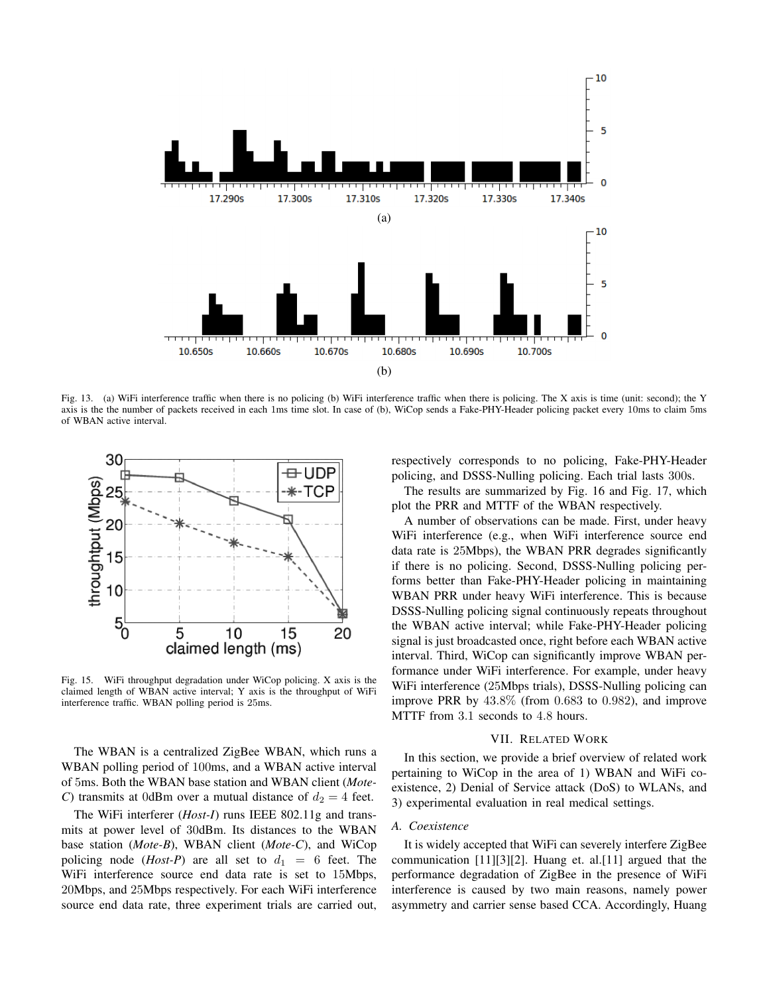

Fig. 13. (a) WiFi interference traffic when there is no policing (b) WiFi interference traffic when there is policing. The X axis is time (unit: second); the Y axis is the the number of packets received in each 1ms time slot. In case of (b), WiCop sends a Fake-PHY-Header policing packet every 10ms to claim 5ms of WBAN active interval.



Fig. 15. WiFi throughput degradation under WiCop policing. X axis is the claimed length of WBAN active interval; Y axis is the throughput of WiFi interference traffic. WBAN polling period is 25ms.

The WBAN is a centralized ZigBee WBAN, which runs a WBAN polling period of 100ms, and a WBAN active interval of 5ms. Both the WBAN base station and WBAN client (*Mote-C*) transmits at 0dBm over a mutual distance of  $d_2 = 4$  feet.

The WiFi interferer (*Host-I*) runs IEEE 802.11g and transmits at power level of 30dBm. Its distances to the WBAN base station (*Mote-B*), WBAN client (*Mote-C*), and WiCop policing node (*Host-P*) are all set to  $d_1 = 6$  feet. The WiFi interference source end data rate is set to 15Mbps, 20Mbps, and 25Mbps respectively. For each WiFi interference source end data rate, three experiment trials are carried out, respectively corresponds to no policing, Fake-PHY-Header policing, and DSSS-Nulling policing. Each trial lasts 300s.

The results are summarized by Fig. 16 and Fig. 17, which plot the PRR and MTTF of the WBAN respectively.

A number of observations can be made. First, under heavy WiFi interference (e.g., when WiFi interference source end data rate is 25Mbps), the WBAN PRR degrades significantly if there is no policing. Second, DSSS-Nulling policing performs better than Fake-PHY-Header policing in maintaining WBAN PRR under heavy WiFi interference. This is because DSSS-Nulling policing signal continuously repeats throughout the WBAN active interval; while Fake-PHY-Header policing signal is just broadcasted once, right before each WBAN active interval. Third, WiCop can significantly improve WBAN performance under WiFi interference. For example, under heavy WiFi interference (25Mbps trials), DSSS-Nulling policing can improve PRR by 43.8% (from 0.683 to 0.982), and improve MTTF from 3.1 seconds to 4.8 hours.

#### VII. RELATED WORK

In this section, we provide a brief overview of related work pertaining to WiCop in the area of 1) WBAN and WiFi coexistence, 2) Denial of Service attack (DoS) to WLANs, and 3) experimental evaluation in real medical settings.

# *A. Coexistence*

It is widely accepted that WiFi can severely interfere ZigBee communication [11][3][2]. Huang et. al.[11] argued that the performance degradation of ZigBee in the presence of WiFi interference is caused by two main reasons, namely power asymmetry and carrier sense based CCA. Accordingly, Huang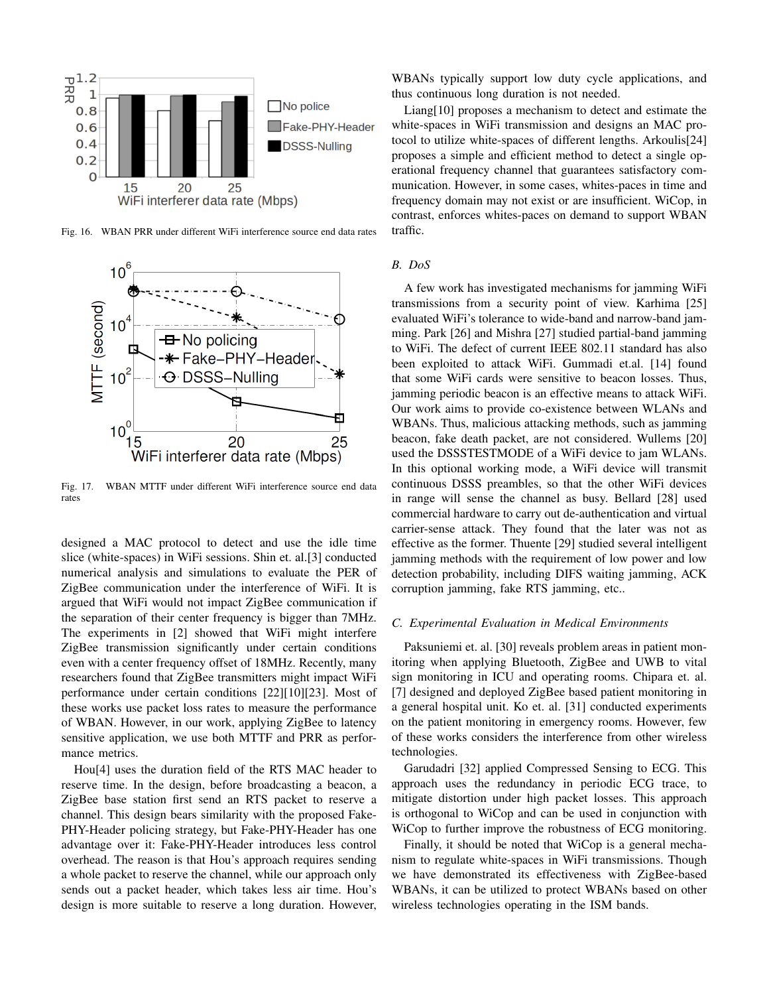

Fig. 16. WBAN PRR under different WiFi interference source end data rates



Fig. 17. WBAN MTTF under different WiFi interference source end data rates

designed a MAC protocol to detect and use the idle time slice (white-spaces) in WiFi sessions. Shin et. al.[3] conducted numerical analysis and simulations to evaluate the PER of ZigBee communication under the interference of WiFi. It is argued that WiFi would not impact ZigBee communication if the separation of their center frequency is bigger than 7MHz. The experiments in [2] showed that WiFi might interfere ZigBee transmission significantly under certain conditions even with a center frequency offset of 18MHz. Recently, many researchers found that ZigBee transmitters might impact WiFi performance under certain conditions [22][10][23]. Most of these works use packet loss rates to measure the performance of WBAN. However, in our work, applying ZigBee to latency sensitive application, we use both MTTF and PRR as performance metrics.

Hou[4] uses the duration field of the RTS MAC header to reserve time. In the design, before broadcasting a beacon, a ZigBee base station first send an RTS packet to reserve a channel. This design bears similarity with the proposed Fake-PHY-Header policing strategy, but Fake-PHY-Header has one advantage over it: Fake-PHY-Header introduces less control overhead. The reason is that Hou's approach requires sending a whole packet to reserve the channel, while our approach only sends out a packet header, which takes less air time. Hou's design is more suitable to reserve a long duration. However,

WBANs typically support low duty cycle applications, and thus continuous long duration is not needed.

Liang[10] proposes a mechanism to detect and estimate the white-spaces in WiFi transmission and designs an MAC protocol to utilize white-spaces of different lengths. Arkoulis[24] proposes a simple and efficient method to detect a single operational frequency channel that guarantees satisfactory communication. However, in some cases, whites-paces in time and frequency domain may not exist or are insufficient. WiCop, in contrast, enforces whites-paces on demand to support WBAN traffic.

# *B. DoS*

A few work has investigated mechanisms for jamming WiFi transmissions from a security point of view. Karhima [25] evaluated WiFi's tolerance to wide-band and narrow-band jamming. Park [26] and Mishra [27] studied partial-band jamming to WiFi. The defect of current IEEE 802.11 standard has also been exploited to attack WiFi. Gummadi et.al. [14] found that some WiFi cards were sensitive to beacon losses. Thus, jamming periodic beacon is an effective means to attack WiFi. Our work aims to provide co-existence between WLANs and WBANs. Thus, malicious attacking methods, such as jamming beacon, fake death packet, are not considered. Wullems [20] used the DSSSTESTMODE of a WiFi device to jam WLANs. In this optional working mode, a WiFi device will transmit continuous DSSS preambles, so that the other WiFi devices in range will sense the channel as busy. Bellard [28] used commercial hardware to carry out de-authentication and virtual carrier-sense attack. They found that the later was not as effective as the former. Thuente [29] studied several intelligent jamming methods with the requirement of low power and low detection probability, including DIFS waiting jamming, ACK corruption jamming, fake RTS jamming, etc..

## *C. Experimental Evaluation in Medical Environments*

Paksuniemi et. al. [30] reveals problem areas in patient monitoring when applying Bluetooth, ZigBee and UWB to vital sign monitoring in ICU and operating rooms. Chipara et. al. [7] designed and deployed ZigBee based patient monitoring in a general hospital unit. Ko et. al. [31] conducted experiments on the patient monitoring in emergency rooms. However, few of these works considers the interference from other wireless technologies.

Garudadri [32] applied Compressed Sensing to ECG. This approach uses the redundancy in periodic ECG trace, to mitigate distortion under high packet losses. This approach is orthogonal to WiCop and can be used in conjunction with WiCop to further improve the robustness of ECG monitoring.

Finally, it should be noted that WiCop is a general mechanism to regulate white-spaces in WiFi transmissions. Though we have demonstrated its effectiveness with ZigBee-based WBANs, it can be utilized to protect WBANs based on other wireless technologies operating in the ISM bands.